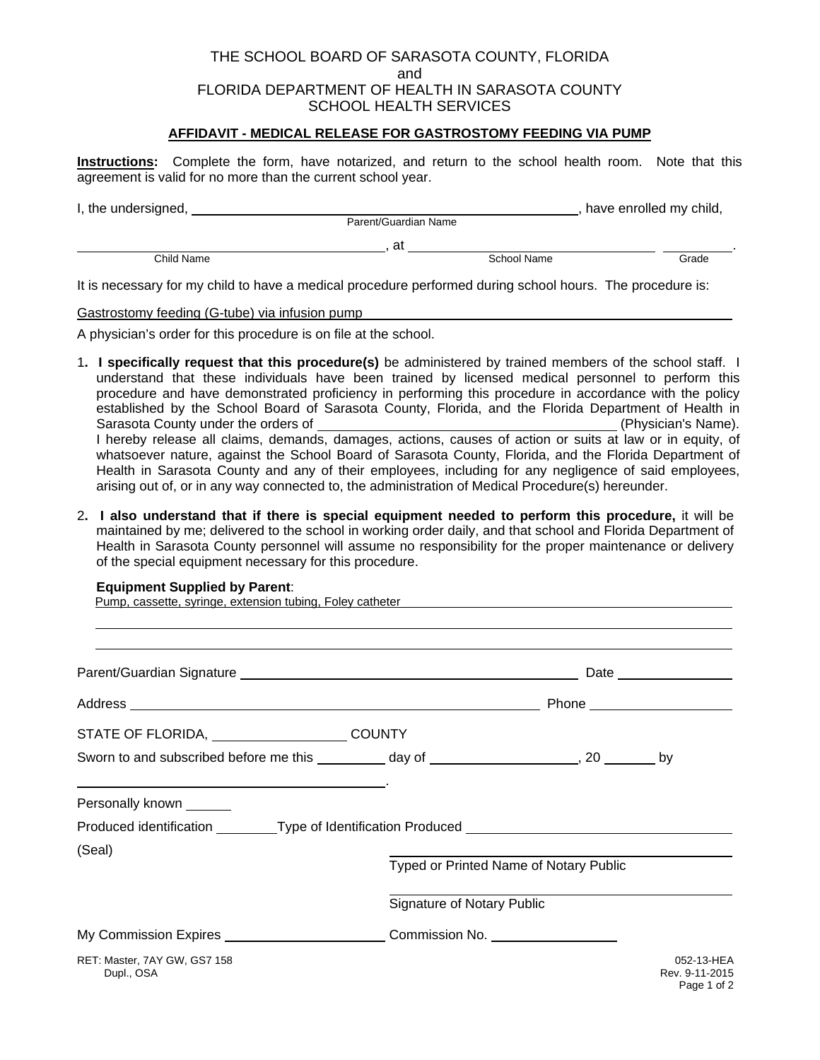### THE SCHOOL BOARD OF SARASOTA COUNTY, FLORIDA and FLORIDA DEPARTMENT OF HEALTH IN SARASOTA COUNTY SCHOOL HEALTH SERVICES

### **AFFIDAVIT - MEDICAL RELEASE FOR GASTROSTOMY FEEDING VIA PUMP**

**Instructions:** Complete the form, have notarized, and return to the school health room. Note that this agreement is valid for no more than the current school year.

| I, the undersigned, |                      |             | have enrolled my child, |       |
|---------------------|----------------------|-------------|-------------------------|-------|
|                     | Parent/Guardian Name |             |                         |       |
|                     | at                   |             |                         |       |
| Child Name          |                      | School Name |                         | Grade |
|                     |                      |             |                         |       |

It is necessary for my child to have a medical procedure performed during school hours. The procedure is:

Gastrostomy feeding (G-tube) via infusion pump

A physician's order for this procedure is on file at the school.

- 1**. I specifically request that this procedure(s)** be administered by trained members of the school staff. I understand that these individuals have been trained by licensed medical personnel to perform this procedure and have demonstrated proficiency in performing this procedure in accordance with the policy established by the School Board of Sarasota County, Florida, and the Florida Department of Health in Sarasota County under the orders of (Physician's Name). I hereby release all claims, demands, damages, actions, causes of action or suits at law or in equity, of whatsoever nature, against the School Board of Sarasota County, Florida, and the Florida Department of Health in Sarasota County and any of their employees, including for any negligence of said employees, arising out of, or in any way connected to, the administration of Medical Procedure(s) hereunder.
- 2**. I also understand that if there is special equipment needed to perform this procedure,** it will be maintained by me; delivered to the school in working order daily, and that school and Florida Department of Health in Sarasota County personnel will assume no responsibility for the proper maintenance or delivery of the special equipment necessary for this procedure.

#### **Equipment Supplied by Parent**:

 $\overline{a}$ 

Pump, cassette, syringe, extension tubing, Foley catheter

|                                                                                                |                                   |                                        | Date ________________                       |
|------------------------------------------------------------------------------------------------|-----------------------------------|----------------------------------------|---------------------------------------------|
|                                                                                                |                                   |                                        |                                             |
| STATE OF FLORIDA, _______________________COUNTY                                                |                                   |                                        |                                             |
| Sworn to and subscribed before me this __________ day of _____________________, 20 ________ by |                                   |                                        |                                             |
| Personally known _______                                                                       |                                   |                                        |                                             |
| Produced identification _________Type of Identification Produced ________________              |                                   |                                        |                                             |
| (Seal)                                                                                         |                                   | Typed or Printed Name of Notary Public |                                             |
|                                                                                                | <b>Signature of Notary Public</b> |                                        |                                             |
| My Commission Expires _________________________Commission No. __________________               |                                   |                                        |                                             |
| RET: Master, 7AY GW, GS7 158<br>Dupl., OSA                                                     |                                   |                                        | 052-13-HEA<br>Rev. 9-11-2015<br>Page 1 of 2 |